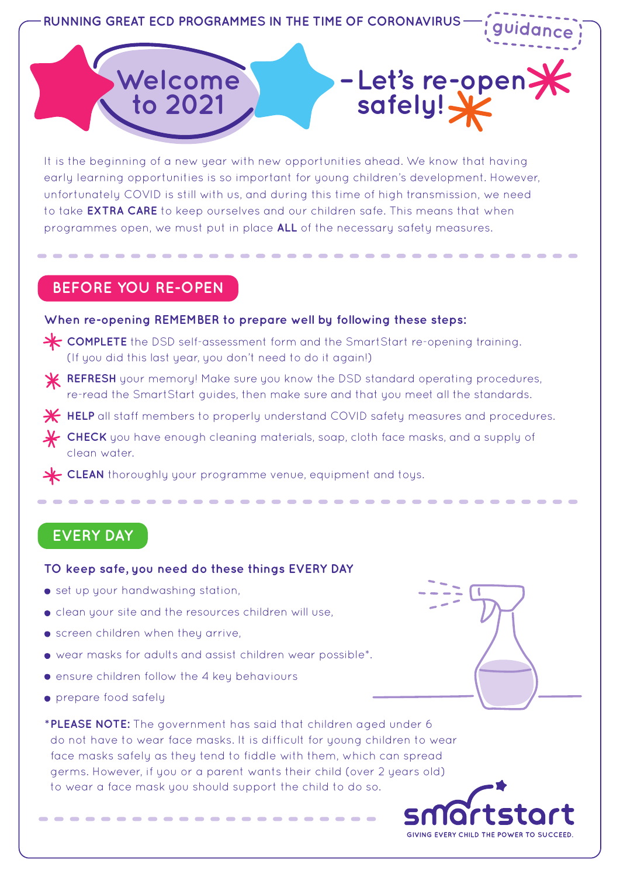

It is the beginning of a new year with new opportunities ahead. We know that having early learning opportunities is so important for young children's development. However, unfortunately COVID is still with us, and during this time of high transmission, we need to take **EXTRA CARE** to keep ourselves and our children safe. This means that when programmes open, we must put in place **ALL** of the necessary safety measures.

### **BEFORE YOU RE-OPEN**

#### **When re-opening REMEMBER to prepare well by following these steps:**

- **COMPLETE** the DSD self-assessment form and the SmartStart re-opening training. (If you did this last year, you don't need to do it again!)
- **REFRESH** your memory! Make sure you know the DSD standard operating procedures, re-read the SmartStart guides, then make sure and that you meet all the standards.
- **K** HELP all staff members to properly understand COVID safety measures and procedures.
- **CHECK** you have enough cleaning materials, soap, cloth face masks, and a supply of clean water.
- **CLEAN** thoroughly your programme venue, equipment and toys.

## **EVERY DAY**

#### **TO keep safe, you need do these things EVERY DAY**

- **•** set up your handwashing station,
- clean your site and the resources children will use,
- **•** screen children when they arrive,
- wear masks for adults and assist children wear possible\*.
- **•** ensure children follow the 4 key behaviours
- prepare food safely
- **\* PLEASE NOTE:** The government has said that children aged under 6 do not have to wear face masks. It is difficult for young children to wear face masks safely as they tend to fiddle with them, which can spread germs. However, if you or a parent wants their child (over 2 years old) to wear a face mask you should support the child to do so.

GIVING EVERY CHILD THE POWER TO SUCCEED